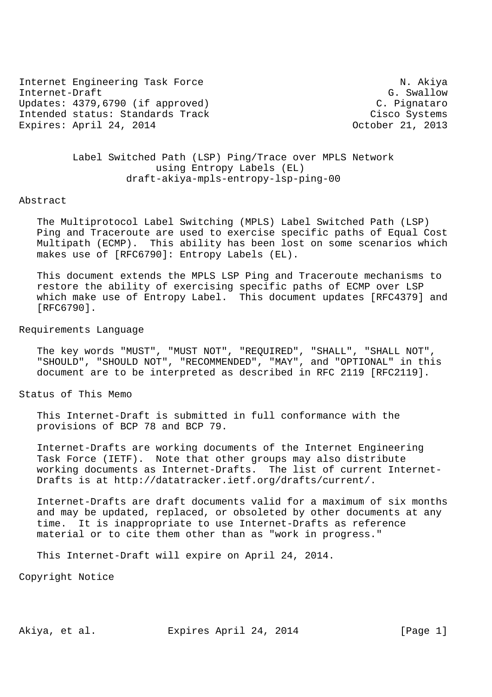Internet Engineering Task Force N. Akiya Internet-Draft G. Swallow G. Swallow Updates: 4379,6790 (if approved) C. Pignataro Intended status: Standards Track Cisco Systems Expires: April 24, 2014 **CEAU CRAIN COLORE** 21, 2013

# Label Switched Path (LSP) Ping/Trace over MPLS Network using Entropy Labels (EL) draft-akiya-mpls-entropy-lsp-ping-00

### Abstract

 The Multiprotocol Label Switching (MPLS) Label Switched Path (LSP) Ping and Traceroute are used to exercise specific paths of Equal Cost Multipath (ECMP). This ability has been lost on some scenarios which makes use of [RFC6790]: Entropy Labels (EL).

 This document extends the MPLS LSP Ping and Traceroute mechanisms to restore the ability of exercising specific paths of ECMP over LSP which make use of Entropy Label. This document updates [RFC4379] and [RFC6790].

## Requirements Language

 The key words "MUST", "MUST NOT", "REQUIRED", "SHALL", "SHALL NOT", "SHOULD", "SHOULD NOT", "RECOMMENDED", "MAY", and "OPTIONAL" in this document are to be interpreted as described in RFC 2119 [RFC2119].

Status of This Memo

 This Internet-Draft is submitted in full conformance with the provisions of BCP 78 and BCP 79.

 Internet-Drafts are working documents of the Internet Engineering Task Force (IETF). Note that other groups may also distribute working documents as Internet-Drafts. The list of current Internet- Drafts is at http://datatracker.ietf.org/drafts/current/.

 Internet-Drafts are draft documents valid for a maximum of six months and may be updated, replaced, or obsoleted by other documents at any time. It is inappropriate to use Internet-Drafts as reference material or to cite them other than as "work in progress."

This Internet-Draft will expire on April 24, 2014.

Copyright Notice

Akiya, et al. Expires April 24, 2014 [Page 1]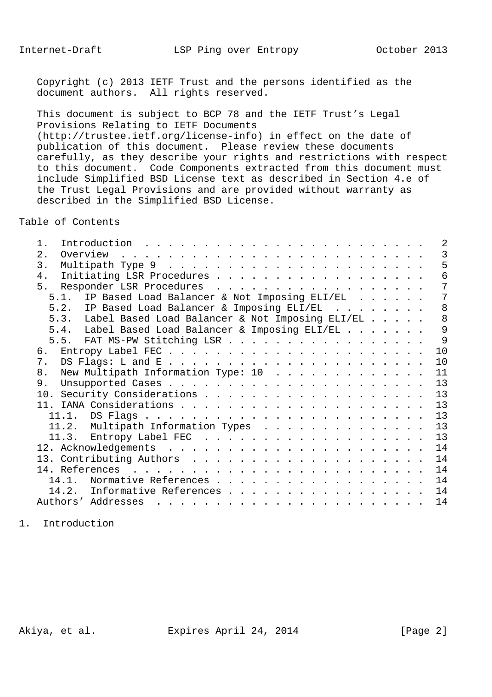Copyright (c) 2013 IETF Trust and the persons identified as the document authors. All rights reserved.

 This document is subject to BCP 78 and the IETF Trust's Legal Provisions Relating to IETF Documents (http://trustee.ietf.org/license-info) in effect on the date of publication of this document. Please review these documents carefully, as they describe your rights and restrictions with respect to this document. Code Components extracted from this document must include Simplified BSD License text as described in Section 4.e of the Trust Legal Provisions and are provided without warranty as described in the Simplified BSD License.

Table of Contents

| $1$ .<br>Introduction $\ldots \ldots \ldots \ldots \ldots \ldots \ldots \ldots$                                                                                                                                                                         | 2  |
|---------------------------------------------------------------------------------------------------------------------------------------------------------------------------------------------------------------------------------------------------------|----|
| 2.<br>Overview<br>and a construction of the construction of the construction of the construction of the construction of the construction of the construction of the construction of the construction of the construction of the construction of         | 3  |
| $\overline{3}$ .                                                                                                                                                                                                                                        | 5  |
| 4.<br>Initiating LSR Procedures                                                                                                                                                                                                                         | 6  |
| 5. Responder LSR Procedures                                                                                                                                                                                                                             | 7  |
| 5.1. IP Based Load Balancer & Not Imposing ELI/EL                                                                                                                                                                                                       | 7  |
| 5.2. IP Based Load Balancer & Imposing ELI/EL                                                                                                                                                                                                           | 8  |
| 5.3. Label Based Load Balancer & Not Imposing ELI/EL                                                                                                                                                                                                    | 8  |
| 5.4. Label Based Load Balancer & Imposing ELI/EL                                                                                                                                                                                                        | 9  |
| 5.5. FAT MS-PW Stitching LSR                                                                                                                                                                                                                            | 9  |
|                                                                                                                                                                                                                                                         | 10 |
| 7.                                                                                                                                                                                                                                                      | 10 |
| New Multipath Information Type: 10<br>8.                                                                                                                                                                                                                | 11 |
| 9.                                                                                                                                                                                                                                                      | 13 |
|                                                                                                                                                                                                                                                         | 13 |
|                                                                                                                                                                                                                                                         | 13 |
|                                                                                                                                                                                                                                                         | 13 |
|                                                                                                                                                                                                                                                         | 13 |
| 11.2. Multipath Information Types                                                                                                                                                                                                                       | 13 |
|                                                                                                                                                                                                                                                         |    |
|                                                                                                                                                                                                                                                         | 14 |
|                                                                                                                                                                                                                                                         | 14 |
|                                                                                                                                                                                                                                                         | 14 |
| Normative References<br>14.1                                                                                                                                                                                                                            | 14 |
| 14.2. Informative References                                                                                                                                                                                                                            | 14 |
| Authors' Addresses<br>$\mathbf{r}$ , and a set of the set of the set of the set of the set of the set of the set of the set of the set of the set of the set of the set of the set of the set of the set of the set of the set of the set of the set of | 14 |
|                                                                                                                                                                                                                                                         |    |

1. Introduction

Akiya, et al. Expires April 24, 2014 [Page 2]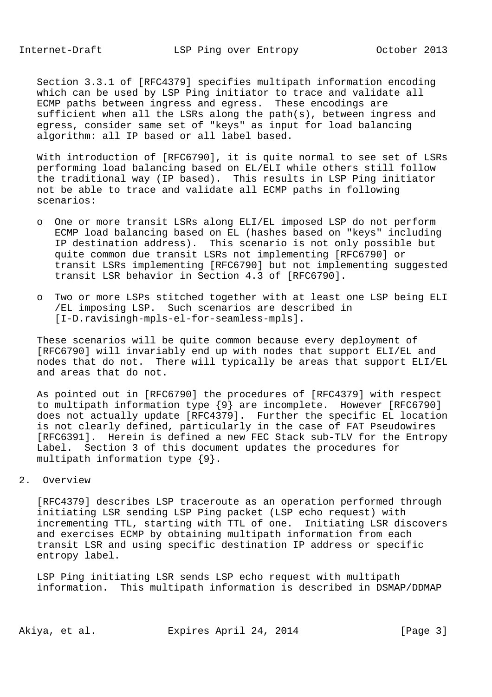Section 3.3.1 of [RFC4379] specifies multipath information encoding which can be used by LSP Ping initiator to trace and validate all ECMP paths between ingress and egress. These encodings are sufficient when all the LSRs along the path(s), between ingress and egress, consider same set of "keys" as input for load balancing algorithm: all IP based or all label based.

 With introduction of [RFC6790], it is quite normal to see set of LSRs performing load balancing based on EL/ELI while others still follow the traditional way (IP based). This results in LSP Ping initiator not be able to trace and validate all ECMP paths in following scenarios:

- o One or more transit LSRs along ELI/EL imposed LSP do not perform ECMP load balancing based on EL (hashes based on "keys" including IP destination address). This scenario is not only possible but quite common due transit LSRs not implementing [RFC6790] or transit LSRs implementing [RFC6790] but not implementing suggested transit LSR behavior in Section 4.3 of [RFC6790].
- o Two or more LSPs stitched together with at least one LSP being ELI /EL imposing LSP. Such scenarios are described in [I-D.ravisingh-mpls-el-for-seamless-mpls].

 These scenarios will be quite common because every deployment of [RFC6790] will invariably end up with nodes that support ELI/EL and nodes that do not. There will typically be areas that support ELI/EL and areas that do not.

 As pointed out in [RFC6790] the procedures of [RFC4379] with respect to multipath information type {9} are incomplete. However [RFC6790] does not actually update [RFC4379]. Further the specific EL location is not clearly defined, particularly in the case of FAT Pseudowires [RFC6391]. Herein is defined a new FEC Stack sub-TLV for the Entropy Label. Section 3 of this document updates the procedures for multipath information type {9}.

### 2. Overview

 [RFC4379] describes LSP traceroute as an operation performed through initiating LSR sending LSP Ping packet (LSP echo request) with incrementing TTL, starting with TTL of one. Initiating LSR discovers and exercises ECMP by obtaining multipath information from each transit LSR and using specific destination IP address or specific entropy label.

 LSP Ping initiating LSR sends LSP echo request with multipath information. This multipath information is described in DSMAP/DDMAP

Akiya, et al. Expires April 24, 2014 [Page 3]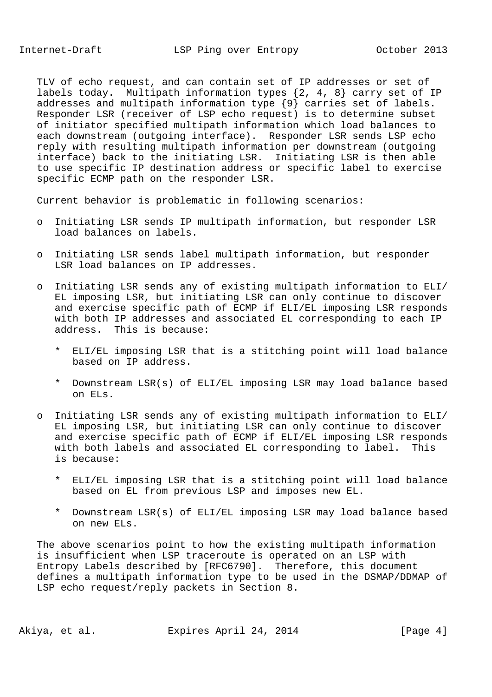TLV of echo request, and can contain set of IP addresses or set of labels today. Multipath information types  $\{2, 4, 8\}$  carry set of IP addresses and multipath information type {9} carries set of labels. Responder LSR (receiver of LSP echo request) is to determine subset of initiator specified multipath information which load balances to each downstream (outgoing interface). Responder LSR sends LSP echo reply with resulting multipath information per downstream (outgoing interface) back to the initiating LSR. Initiating LSR is then able to use specific IP destination address or specific label to exercise specific ECMP path on the responder LSR.

Current behavior is problematic in following scenarios:

- o Initiating LSR sends IP multipath information, but responder LSR load balances on labels.
- o Initiating LSR sends label multipath information, but responder LSR load balances on IP addresses.
- o Initiating LSR sends any of existing multipath information to ELI/ EL imposing LSR, but initiating LSR can only continue to discover and exercise specific path of ECMP if ELI/EL imposing LSR responds with both IP addresses and associated EL corresponding to each IP address. This is because:
	- \* ELI/EL imposing LSR that is a stitching point will load balance based on IP address.
	- \* Downstream LSR(s) of ELI/EL imposing LSR may load balance based on ELs.
- o Initiating LSR sends any of existing multipath information to ELI/ EL imposing LSR, but initiating LSR can only continue to discover and exercise specific path of ECMP if ELI/EL imposing LSR responds with both labels and associated EL corresponding to label. This is because:
	- \* ELI/EL imposing LSR that is a stitching point will load balance based on EL from previous LSP and imposes new EL.
	- \* Downstream LSR(s) of ELI/EL imposing LSR may load balance based on new ELs.

 The above scenarios point to how the existing multipath information is insufficient when LSP traceroute is operated on an LSP with Entropy Labels described by [RFC6790]. Therefore, this document defines a multipath information type to be used in the DSMAP/DDMAP of LSP echo request/reply packets in Section 8.

Akiya, et al. Expires April 24, 2014 [Page 4]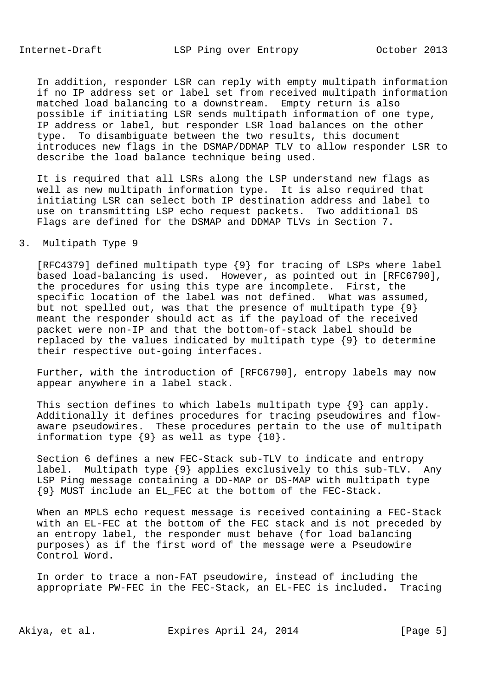In addition, responder LSR can reply with empty multipath information if no IP address set or label set from received multipath information matched load balancing to a downstream. Empty return is also possible if initiating LSR sends multipath information of one type, IP address or label, but responder LSR load balances on the other type. To disambiguate between the two results, this document introduces new flags in the DSMAP/DDMAP TLV to allow responder LSR to describe the load balance technique being used.

 It is required that all LSRs along the LSP understand new flags as well as new multipath information type. It is also required that initiating LSR can select both IP destination address and label to use on transmitting LSP echo request packets. Two additional DS Flags are defined for the DSMAP and DDMAP TLVs in Section 7.

### 3. Multipath Type 9

 [RFC4379] defined multipath type {9} for tracing of LSPs where label based load-balancing is used. However, as pointed out in [RFC6790], the procedures for using this type are incomplete. First, the specific location of the label was not defined. What was assumed, but not spelled out, was that the presence of multipath type {9} meant the responder should act as if the payload of the received packet were non-IP and that the bottom-of-stack label should be replaced by the values indicated by multipath type {9} to determine their respective out-going interfaces.

 Further, with the introduction of [RFC6790], entropy labels may now appear anywhere in a label stack.

 This section defines to which labels multipath type {9} can apply. Additionally it defines procedures for tracing pseudowires and flow aware pseudowires. These procedures pertain to the use of multipath information type {9} as well as type {10}.

 Section 6 defines a new FEC-Stack sub-TLV to indicate and entropy label. Multipath type {9} applies exclusively to this sub-TLV. Any LSP Ping message containing a DD-MAP or DS-MAP with multipath type {9} MUST include an EL\_FEC at the bottom of the FEC-Stack.

 When an MPLS echo request message is received containing a FEC-Stack with an EL-FEC at the bottom of the FEC stack and is not preceded by an entropy label, the responder must behave (for load balancing purposes) as if the first word of the message were a Pseudowire Control Word.

 In order to trace a non-FAT pseudowire, instead of including the appropriate PW-FEC in the FEC-Stack, an EL-FEC is included. Tracing

Akiya, et al. Expires April 24, 2014 [Page 5]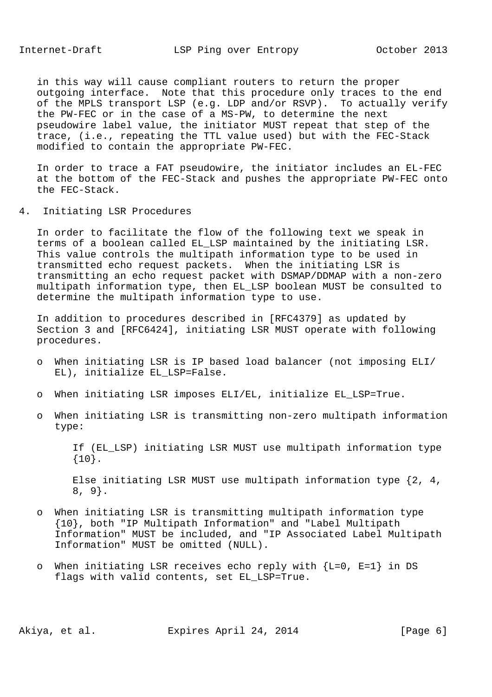in this way will cause compliant routers to return the proper outgoing interface. Note that this procedure only traces to the end of the MPLS transport LSP (e.g. LDP and/or RSVP). To actually verify the PW-FEC or in the case of a MS-PW, to determine the next pseudowire label value, the initiator MUST repeat that step of the trace, (i.e., repeating the TTL value used) but with the FEC-Stack modified to contain the appropriate PW-FEC.

 In order to trace a FAT pseudowire, the initiator includes an EL-FEC at the bottom of the FEC-Stack and pushes the appropriate PW-FEC onto the FEC-Stack.

4. Initiating LSR Procedures

 In order to facilitate the flow of the following text we speak in terms of a boolean called EL\_LSP maintained by the initiating LSR. This value controls the multipath information type to be used in transmitted echo request packets. When the initiating LSR is transmitting an echo request packet with DSMAP/DDMAP with a non-zero multipath information type, then EL\_LSP boolean MUST be consulted to determine the multipath information type to use.

 In addition to procedures described in [RFC4379] as updated by Section 3 and [RFC6424], initiating LSR MUST operate with following procedures.

- o When initiating LSR is IP based load balancer (not imposing ELI/ EL), initialize EL\_LSP=False.
- o When initiating LSR imposes ELI/EL, initialize EL\_LSP=True.
- o When initiating LSR is transmitting non-zero multipath information type:

 If (EL\_LSP) initiating LSR MUST use multipath information type {10}.

 Else initiating LSR MUST use multipath information type {2, 4, 8, 9}.

- o When initiating LSR is transmitting multipath information type {10}, both "IP Multipath Information" and "Label Multipath Information" MUST be included, and "IP Associated Label Multipath Information" MUST be omitted (NULL).
- o When initiating LSR receives echo reply with {L=0, E=1} in DS flags with valid contents, set EL\_LSP=True.

Akiya, et al. Expires April 24, 2014 [Page 6]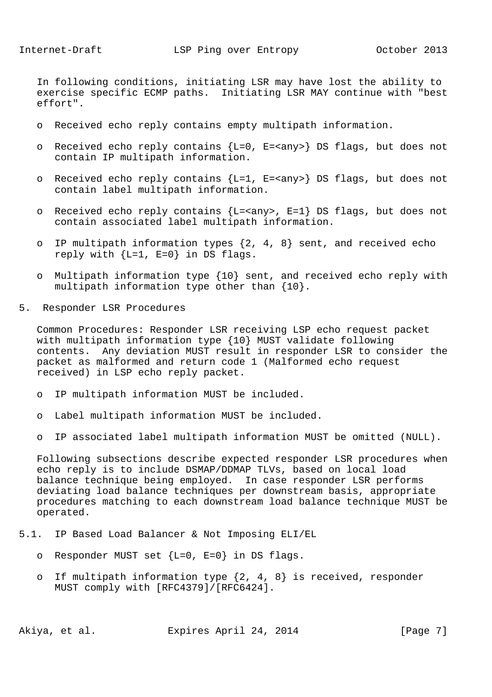In following conditions, initiating LSR may have lost the ability to exercise specific ECMP paths. Initiating LSR MAY continue with "best effort".

- o Received echo reply contains empty multipath information.
- o Received echo reply contains {L=0, E=<any>} DS flags, but does not contain IP multipath information.
- o Received echo reply contains {L=1, E=<any>} DS flags, but does not contain label multipath information.
- o Received echo reply contains  ${L = *any* > , E = 1}$  DS flags, but does not contain associated label multipath information.
- o IP multipath information types {2, 4, 8} sent, and received echo reply with  ${L=1, E=0}$  in DS flags.
- o Multipath information type {10} sent, and received echo reply with multipath information type other than {10}.
- 5. Responder LSR Procedures

 Common Procedures: Responder LSR receiving LSP echo request packet with multipath information type {10} MUST validate following contents. Any deviation MUST result in responder LSR to consider the packet as malformed and return code 1 (Malformed echo request received) in LSP echo reply packet.

- o IP multipath information MUST be included.
- o Label multipath information MUST be included.
- o IP associated label multipath information MUST be omitted (NULL).

 Following subsections describe expected responder LSR procedures when echo reply is to include DSMAP/DDMAP TLVs, based on local load balance technique being employed. In case responder LSR performs deviating load balance techniques per downstream basis, appropriate procedures matching to each downstream load balance technique MUST be operated.

- 5.1. IP Based Load Balancer & Not Imposing ELI/EL
	- o Responder MUST set  ${L=0, E=0}$  in DS flags.
	- o If multipath information type  $\{2, 4, 8\}$  is received, responder MUST comply with [RFC4379]/[RFC6424].

Akiya, et al. Expires April 24, 2014 [Page 7]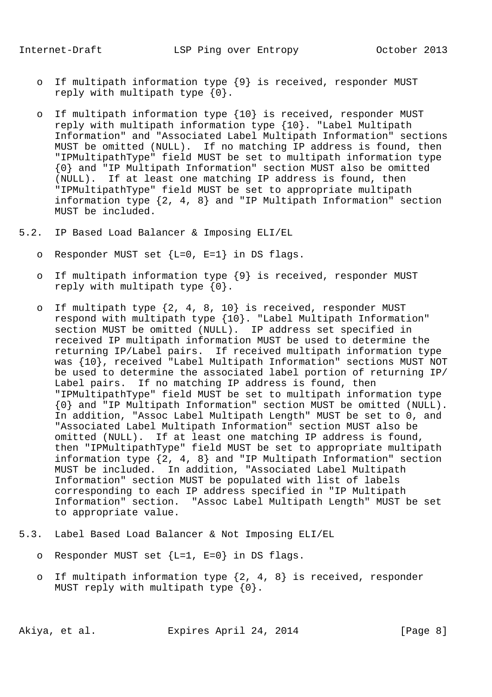- o If multipath information type {9} is received, responder MUST reply with multipath type {0}.
- o If multipath information type {10} is received, responder MUST reply with multipath information type {10}. "Label Multipath Information" and "Associated Label Multipath Information" sections MUST be omitted (NULL). If no matching IP address is found, then "IPMultipathType" field MUST be set to multipath information type {0} and "IP Multipath Information" section MUST also be omitted (NULL). If at least one matching IP address is found, then "IPMultipathType" field MUST be set to appropriate multipath information type {2, 4, 8} and "IP Multipath Information" section MUST be included.
- 5.2. IP Based Load Balancer & Imposing ELI/EL
	- o Responder MUST set  ${L=0, E=1}$  in DS flags.
	- o If multipath information type {9} is received, responder MUST reply with multipath type {0}.
	- o If multipath type {2, 4, 8, 10} is received, responder MUST respond with multipath type {10}. "Label Multipath Information" section MUST be omitted (NULL). IP address set specified in received IP multipath information MUST be used to determine the returning IP/Label pairs. If received multipath information type was {10}, received "Label Multipath Information" sections MUST NOT be used to determine the associated label portion of returning IP/ Label pairs. If no matching IP address is found, then "IPMultipathType" field MUST be set to multipath information type {0} and "IP Multipath Information" section MUST be omitted (NULL). In addition, "Assoc Label Multipath Length" MUST be set to 0, and "Associated Label Multipath Information" section MUST also be omitted (NULL). If at least one matching IP address is found, then "IPMultipathType" field MUST be set to appropriate multipath information type {2, 4, 8} and "IP Multipath Information" section MUST be included. In addition, "Associated Label Multipath Information" section MUST be populated with list of labels corresponding to each IP address specified in "IP Multipath Information" section. "Assoc Label Multipath Length" MUST be set to appropriate value.
- 5.3. Label Based Load Balancer & Not Imposing ELI/EL
	- o Responder MUST set  ${L=1, E=0}$  in DS flags.
	- o If multipath information type {2, 4, 8} is received, responder MUST reply with multipath type  $\{0\}$ .

Akiya, et al. Expires April 24, 2014 [Page 8]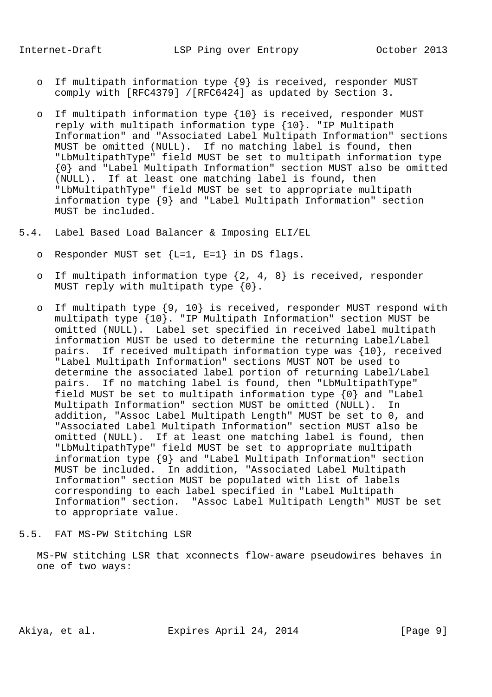- o If multipath information type {9} is received, responder MUST comply with [RFC4379] /[RFC6424] as updated by Section 3.
- o If multipath information type {10} is received, responder MUST reply with multipath information type {10}. "IP Multipath Information" and "Associated Label Multipath Information" sections MUST be omitted (NULL). If no matching label is found, then "LbMultipathType" field MUST be set to multipath information type {0} and "Label Multipath Information" section MUST also be omitted (NULL). If at least one matching label is found, then "LbMultipathType" field MUST be set to appropriate multipath information type {9} and "Label Multipath Information" section MUST be included.
- 5.4. Label Based Load Balancer & Imposing ELI/EL
	- o Responder MUST set  ${L=1, E=1}$  in DS flags.
	- o If multipath information type {2, 4, 8} is received, responder MUST reply with multipath type {0}.
	- o If multipath type {9, 10} is received, responder MUST respond with multipath type {10}. "IP Multipath Information" section MUST be omitted (NULL). Label set specified in received label multipath information MUST be used to determine the returning Label/Label pairs. If received multipath information type was {10}, received "Label Multipath Information" sections MUST NOT be used to determine the associated label portion of returning Label/Label pairs. If no matching label is found, then "LbMultipathType" field MUST be set to multipath information type {0} and "Label Multipath Information" section MUST be omitted (NULL). In addition, "Assoc Label Multipath Length" MUST be set to 0, and "Associated Label Multipath Information" section MUST also be omitted (NULL). If at least one matching label is found, then "LbMultipathType" field MUST be set to appropriate multipath information type {9} and "Label Multipath Information" section MUST be included. In addition, "Associated Label Multipath Information" section MUST be populated with list of labels corresponding to each label specified in "Label Multipath Information" section. "Assoc Label Multipath Length" MUST be set to appropriate value.
- 5.5. FAT MS-PW Stitching LSR

 MS-PW stitching LSR that xconnects flow-aware pseudowires behaves in one of two ways:

Akiya, et al. Expires April 24, 2014 [Page 9]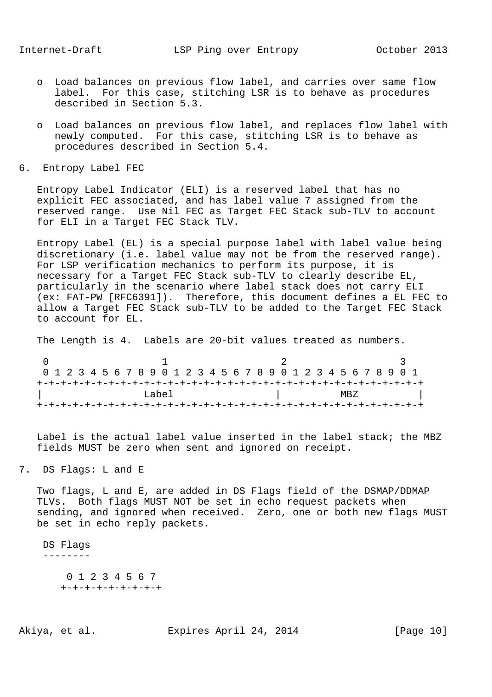- o Load balances on previous flow label, and carries over same flow label. For this case, stitching LSR is to behave as procedures described in Section 5.3.
- o Load balances on previous flow label, and replaces flow label with newly computed. For this case, stitching LSR is to behave as procedures described in Section 5.4.
- 6. Entropy Label FEC

 Entropy Label Indicator (ELI) is a reserved label that has no explicit FEC associated, and has label value 7 assigned from the reserved range. Use Nil FEC as Target FEC Stack sub-TLV to account for ELI in a Target FEC Stack TLV.

 Entropy Label (EL) is a special purpose label with label value being discretionary (i.e. label value may not be from the reserved range). For LSP verification mechanics to perform its purpose, it is necessary for a Target FEC Stack sub-TLV to clearly describe EL, particularly in the scenario where label stack does not carry ELI (ex: FAT-PW [RFC6391]). Therefore, this document defines a EL FEC to allow a Target FEC Stack sub-TLV to be added to the Target FEC Stack to account for EL.

The Length is 4. Labels are 20-bit values treated as numbers.

 $0$  1 2 3 0 1 2 3 4 5 6 7 8 9 0 1 2 3 4 5 6 7 8 9 0 1 2 3 4 5 6 7 8 9 0 1 +-+-+-+-+-+-+-+-+-+-+-+-+-+-+-+-+-+-+-+-+-+-+-+-+-+-+-+-+-+-+-+-+  $|\hspace{.1cm} \text{MBZ} \hspace{.1cm} |\hspace{.1cm}$ +-+-+-+-+-+-+-+-+-+-+-+-+-+-+-+-+-+-+-+-+-+-+-+-+-+-+-+-+-+-+-+-+

 Label is the actual label value inserted in the label stack; the MBZ fields MUST be zero when sent and ignored on receipt.

7. DS Flags: L and E

 Two flags, L and E, are added in DS Flags field of the DSMAP/DDMAP TLVs. Both flags MUST NOT be set in echo request packets when sending, and ignored when received. Zero, one or both new flags MUST be set in echo reply packets.

DS Flags

--------

 0 1 2 3 4 5 6 7 +-+-+-+-+-+-+-+-+

Akiya, et al. Expires April 24, 2014 [Page 10]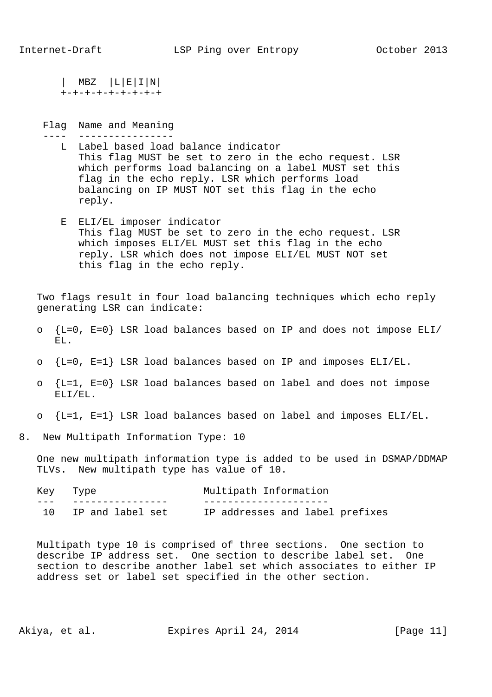| MBZ |L|E|I|N| +-+-+-+-+-+-+-+-+

 Flag Name and Meaning ---- ----------------

- L Label based load balance indicator This flag MUST be set to zero in the echo request. LSR which performs load balancing on a label MUST set this flag in the echo reply. LSR which performs load balancing on IP MUST NOT set this flag in the echo reply.
- E ELI/EL imposer indicator This flag MUST be set to zero in the echo request. LSR which imposes ELI/EL MUST set this flag in the echo reply. LSR which does not impose ELI/EL MUST NOT set this flag in the echo reply.

 Two flags result in four load balancing techniques which echo reply generating LSR can indicate:

- o {L=0, E=0} LSR load balances based on IP and does not impose ELI/ EL.
- $\circ$  {L=0, E=1} LSR load balances based on IP and imposes ELI/EL.
- o {L=1, E=0} LSR load balances based on label and does not impose ELI/EL.
- $\circ$   $\{L=1, E=1\}$  LSR load balances based on label and imposes ELI/EL.

8. New Multipath Information Type: 10

 One new multipath information type is added to be used in DSMAP/DDMAP TLVs. New multipath type has value of 10.

| Key Type |                  | Multipath Information           |
|----------|------------------|---------------------------------|
|          |                  |                                 |
|          | IP and label set | IP addresses and label prefixes |

 Multipath type 10 is comprised of three sections. One section to describe IP address set. One section to describe label set. One section to describe another label set which associates to either IP address set or label set specified in the other section.

Akiya, et al. Expires April 24, 2014 [Page 11]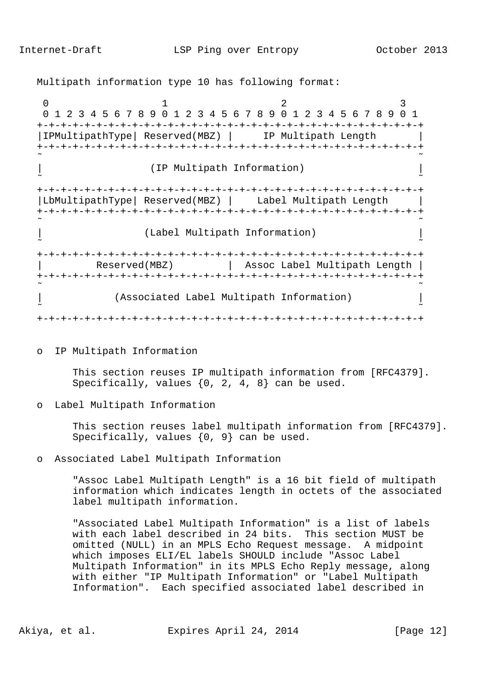Multipath information type 10 has following format:

 $0$  1 2 3 0 1 2 3 4 5 6 7 8 9 0 1 2 3 4 5 6 7 8 9 0 1 2 3 4 5 6 7 8 9 0 1 +-+-+-+-+-+-+-+-+-+-+-+-+-+-+-+-+-+-+-+-+-+-+-+-+-+-+-+-+-+-+-+-+ |IPMultipathType| Reserved(MBZ) | IP Multipath Length | +-+-+-+-+-+-+-+-+-+-+-+-+-+-+-+-+-+-+-+-+-+-+-+-+-+-+-+-+-+-+-+-+  $\sim$   $\sim$ | (IP Multipath Information) ˜ ˜ +-+-+-+-+-+-+-+-+-+-+-+-+-+-+-+-+-+-+-+-+-+-+-+-+-+-+-+-+-+-+-+-+ |LbMultipathType| Reserved(MBZ) | Label Multipath Length | +-+-+-+-+-+-+-+-+-+-+-+-+-+-+-+-+-+-+-+-+-+-+-+-+-+-+-+-+-+-+-+-+ ˜ ˜ | (Label Multipath Information) | ˜ ˜ +-+-+-+-+-+-+-+-+-+-+-+-+-+-+-+-+-+-+-+-+-+-+-+-+-+-+-+-+-+-+-+-+ | Reserved(MBZ) | Assoc Label Multipath Length | +-+-+-+-+-+-+-+-+-+-+-+-+-+-+-+-+-+-+-+-+-+-+-+-+-+-+-+-+-+-+-+-+ ˜ ˜ | (Associated Label Multipath Information) | ˜ ˜ +-+-+-+-+-+-+-+-+-+-+-+-+-+-+-+-+-+-+-+-+-+-+-+-+-+-+-+-+-+-+-+-+

o IP Multipath Information

 This section reuses IP multipath information from [RFC4379]. Specifically, values  $\{0, 2, 4, 8\}$  can be used.

o Label Multipath Information

 This section reuses label multipath information from [RFC4379]. Specifically, values  $\{0, 9\}$  can be used.

o Associated Label Multipath Information

 "Assoc Label Multipath Length" is a 16 bit field of multipath information which indicates length in octets of the associated label multipath information.

 "Associated Label Multipath Information" is a list of labels with each label described in 24 bits. This section MUST be omitted (NULL) in an MPLS Echo Request message. A midpoint which imposes ELI/EL labels SHOULD include "Assoc Label Multipath Information" in its MPLS Echo Reply message, along with either "IP Multipath Information" or "Label Multipath Information". Each specified associated label described in

Akiya, et al. Expires April 24, 2014 [Page 12]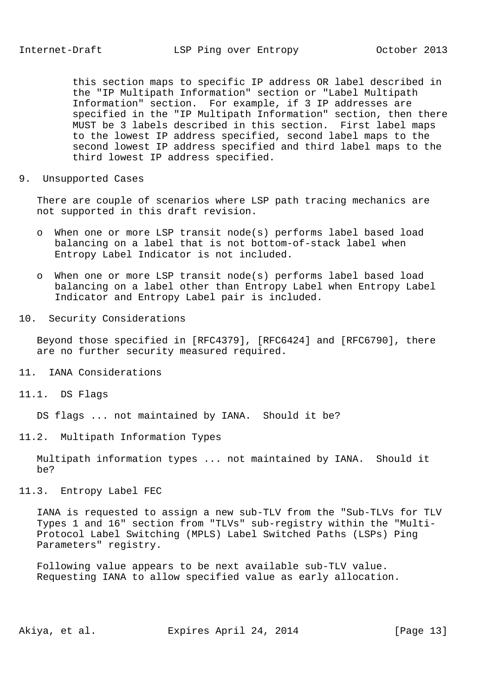this section maps to specific IP address OR label described in the "IP Multipath Information" section or "Label Multipath Information" section. For example, if 3 IP addresses are specified in the "IP Multipath Information" section, then there MUST be 3 labels described in this section. First label maps to the lowest IP address specified, second label maps to the second lowest IP address specified and third label maps to the third lowest IP address specified.

9. Unsupported Cases

 There are couple of scenarios where LSP path tracing mechanics are not supported in this draft revision.

- o When one or more LSP transit node(s) performs label based load balancing on a label that is not bottom-of-stack label when Entropy Label Indicator is not included.
- o When one or more LSP transit node(s) performs label based load balancing on a label other than Entropy Label when Entropy Label Indicator and Entropy Label pair is included.
- 10. Security Considerations

 Beyond those specified in [RFC4379], [RFC6424] and [RFC6790], there are no further security measured required.

- 11. IANA Considerations
- 11.1. DS Flags

DS flags ... not maintained by IANA. Should it be?

11.2. Multipath Information Types

 Multipath information types ... not maintained by IANA. Should it be?

11.3. Entropy Label FEC

 IANA is requested to assign a new sub-TLV from the "Sub-TLVs for TLV Types 1 and 16" section from "TLVs" sub-registry within the "Multi- Protocol Label Switching (MPLS) Label Switched Paths (LSPs) Ping Parameters" registry.

 Following value appears to be next available sub-TLV value. Requesting IANA to allow specified value as early allocation.

Akiya, et al. Expires April 24, 2014 [Page 13]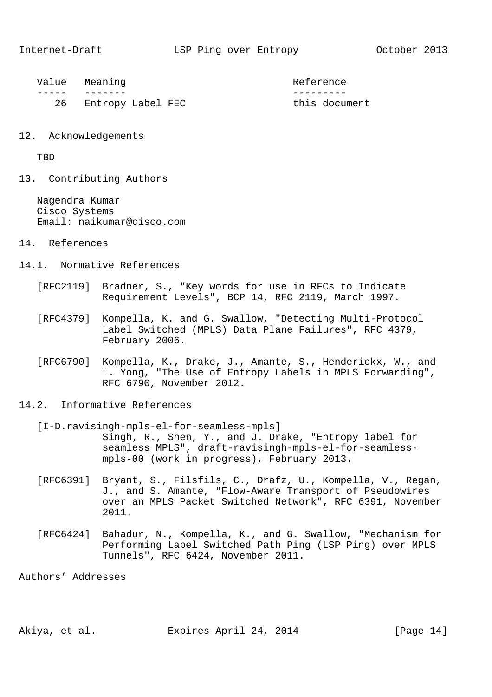| Value Meaning        | Reference     |
|----------------------|---------------|
|                      |               |
| 26 Entropy Label FEC | this document |

12. Acknowledgements

TBD

13. Contributing Authors

 Nagendra Kumar Cisco Systems Email: naikumar@cisco.com

- 14. References
- 14.1. Normative References
	- [RFC2119] Bradner, S., "Key words for use in RFCs to Indicate Requirement Levels", BCP 14, RFC 2119, March 1997.
	- [RFC4379] Kompella, K. and G. Swallow, "Detecting Multi-Protocol Label Switched (MPLS) Data Plane Failures", RFC 4379, February 2006.
	- [RFC6790] Kompella, K., Drake, J., Amante, S., Henderickx, W., and L. Yong, "The Use of Entropy Labels in MPLS Forwarding", RFC 6790, November 2012.
- 14.2. Informative References
	- [I-D.ravisingh-mpls-el-for-seamless-mpls] Singh, R., Shen, Y., and J. Drake, "Entropy label for seamless MPLS", draft-ravisingh-mpls-el-for-seamless mpls-00 (work in progress), February 2013.
	- [RFC6391] Bryant, S., Filsfils, C., Drafz, U., Kompella, V., Regan, J., and S. Amante, "Flow-Aware Transport of Pseudowires over an MPLS Packet Switched Network", RFC 6391, November 2011.
	- [RFC6424] Bahadur, N., Kompella, K., and G. Swallow, "Mechanism for Performing Label Switched Path Ping (LSP Ping) over MPLS Tunnels", RFC 6424, November 2011.

Authors' Addresses

Akiya, et al. Expires April 24, 2014 [Page 14]